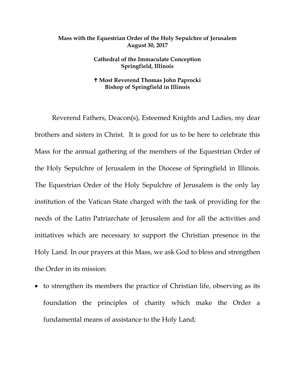## **Mass with the Equestrian Order of the Holy Sepulchre of Jerusalem August 30, 2017**

## **Cathedral of the Immaculate Conception Springfield, Illinois**

## **Most Reverend Thomas John Paprocki Bishop of Springfield in Illinois**

Reverend Fathers, Deacon(s), Esteemed Knights and Ladies, my dear brothers and sisters in Christ. It is good for us to be here to celebrate this Mass for the annual gathering of the members of the Equestrian Order of the Holy Sepulchre of Jerusalem in the Diocese of Springfield in Illinois. The Equestrian Order of the Holy Sepulchre of Jerusalem is the only lay institution of the Vatican State charged with the task of providing for the needs of the Latin Patriarchate of Jerusalem and for all the activities and initiatives which are necessary to support the Christian presence in the Holy Land. In our prayers at this Mass, we ask God to bless and strengthen the Order in its mission:

• to strengthen its members the practice of Christian life, observing as its foundation the principles of charity which make the Order a fundamental means of assistance to the Holy Land;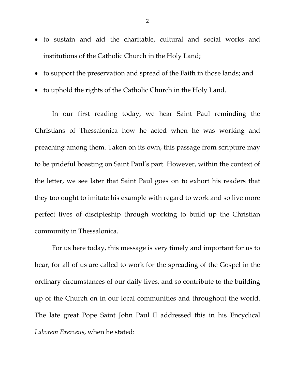- to sustain and aid the charitable, cultural and social works and institutions of the Catholic Church in the Holy Land;
- to support the preservation and spread of the Faith in those lands; and
- to uphold the rights of the Catholic Church in the Holy Land.

In our first reading today, we hear Saint Paul reminding the Christians of Thessalonica how he acted when he was working and preaching among them. Taken on its own, this passage from scripture may to be prideful boasting on Saint Paul's part. However, within the context of the letter, we see later that Saint Paul goes on to exhort his readers that they too ought to imitate his example with regard to work and so live more perfect lives of discipleship through working to build up the Christian community in Thessalonica.

For us here today, this message is very timely and important for us to hear, for all of us are called to work for the spreading of the Gospel in the ordinary circumstances of our daily lives, and so contribute to the building up of the Church on in our local communities and throughout the world. The late great Pope Saint John Paul II addressed this in his Encyclical *Laborem Exercens*, when he stated: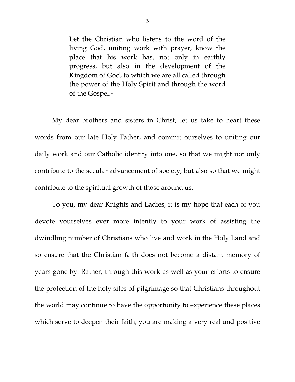Let the Christian who listens to the word of the living God, uniting work with prayer, know the place that his work has, not only in earthly progress, but also in the development of the Kingdom of God, to which we are all called through the power of the Holy Spirit and through the word of the Gospel.[1](#page-3-0)

My dear brothers and sisters in Christ, let us take to heart these words from our late Holy Father, and commit ourselves to uniting our daily work and our Catholic identity into one, so that we might not only contribute to the secular advancement of society, but also so that we might contribute to the spiritual growth of those around us.

To you, my dear Knights and Ladies, it is my hope that each of you devote yourselves ever more intently to your work of assisting the dwindling number of Christians who live and work in the Holy Land and so ensure that the Christian faith does not become a distant memory of years gone by. Rather, through this work as well as your efforts to ensure the protection of the holy sites of pilgrimage so that Christians throughout the world may continue to have the opportunity to experience these places which serve to deepen their faith, you are making a very real and positive